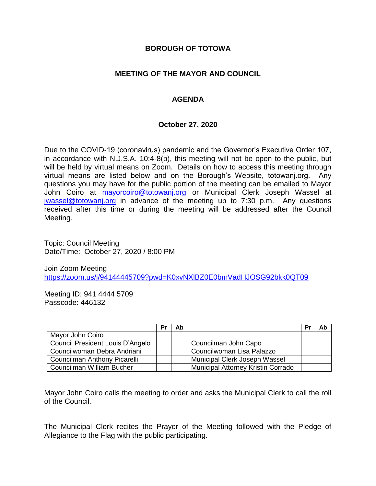#### **BOROUGH OF TOTOWA**

## **MEETING OF THE MAYOR AND COUNCIL**

## **AGENDA**

#### **October 27, 2020**

Due to the COVID-19 (coronavirus) pandemic and the Governor's Executive Order 107, in accordance with N.J.S.A. 10:4-8(b), this meeting will not be open to the public, but will be held by virtual means on Zoom. Details on how to access this meeting through virtual means are listed below and on the Borough's Website, totowanj.org. Any questions you may have for the public portion of the meeting can be emailed to Mayor John Coiro at [mayorcoiro@totowanj.org](mailto:mayorcoiro@totowanj.org) or Municipal Clerk Joseph Wassel at [jwassel@totowanj.org](mailto:jwassel@totowanj.org) in advance of the meeting up to 7:30 p.m. Any questions received after this time or during the meeting will be addressed after the Council Meeting.

Topic: Council Meeting Date/Time: October 27, 2020 / 8:00 PM

Join Zoom Meeting <https://zoom.us/j/94144445709?pwd=K0xvNXlBZ0E0bmVadHJOSG92bkk0QT09>

Meeting ID: 941 4444 5709 Passcode: 446132

|                                  | Pr | Ab |                                           | Pr | Ab |
|----------------------------------|----|----|-------------------------------------------|----|----|
| Mayor John Coiro                 |    |    |                                           |    |    |
| Council President Louis D'Angelo |    |    | Councilman John Capo                      |    |    |
| Councilwoman Debra Andriani      |    |    | Councilwoman Lisa Palazzo                 |    |    |
| Councilman Anthony Picarelli     |    |    | Municipal Clerk Joseph Wassel             |    |    |
| Councilman William Bucher        |    |    | <b>Municipal Attorney Kristin Corrado</b> |    |    |

Mayor John Coiro calls the meeting to order and asks the Municipal Clerk to call the roll of the Council.

The Municipal Clerk recites the Prayer of the Meeting followed with the Pledge of Allegiance to the Flag with the public participating.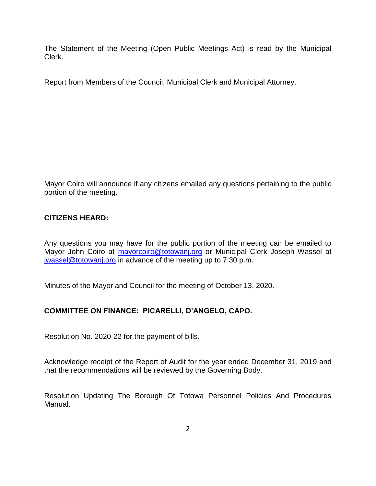The Statement of the Meeting (Open Public Meetings Act) is read by the Municipal Clerk.

Report from Members of the Council, Municipal Clerk and Municipal Attorney.

Mayor Coiro will announce if any citizens emailed any questions pertaining to the public portion of the meeting.

#### **CITIZENS HEARD:**

Any questions you may have for the public portion of the meeting can be emailed to Mayor John Coiro at [mayorcoiro@totowanj.org](mailto:mayorcoiro@totowanj.org) or Municipal Clerk Joseph Wassel at [jwassel@totowanj.org](mailto:jwassel@totowanj.org) in advance of the meeting up to 7:30 p.m.

Minutes of the Mayor and Council for the meeting of October 13, 2020.

# **COMMITTEE ON FINANCE: PICARELLI, D'ANGELO, CAPO.**

Resolution No. 2020-22 for the payment of bills.

Acknowledge receipt of the Report of Audit for the year ended December 31, 2019 and that the recommendations will be reviewed by the Governing Body.

Resolution Updating The Borough Of Totowa Personnel Policies And Procedures Manual.